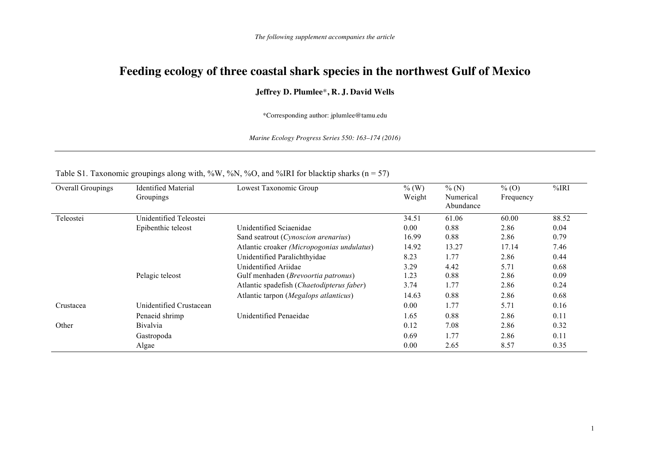## **Feeding ecology of three coastal shark species in the northwest Gulf of Mexico**

## **Jeffrey D. Plumlee**\***, R. J. David Wells**

\*Corresponding author: jplumlee@tamu.edu

*Marine Ecology Progress Series 550: 163–174 (2016)*

| Overall Groupings | <b>Identified Material</b><br>Groupings | Lowest Taxonomic Group                                         | $%$ (W)<br>Weight | %(N)<br>Numerical<br>Abundance | $\%$ (O)<br>Frequency | %IRI         |
|-------------------|-----------------------------------------|----------------------------------------------------------------|-------------------|--------------------------------|-----------------------|--------------|
| Teleostei         | Unidentified Teleostei                  |                                                                | 34.51             | 61.06                          | 60.00                 | 88.52        |
|                   | Epibenthic teleost                      | Unidentified Sciaenidae<br>Sand seatrout (Cynoscion arenarius) | 0.00<br>16.99     | 0.88<br>0.88                   | 2.86<br>2.86          | 0.04<br>0.79 |
|                   |                                         | Atlantic croaker (Micropogonias undulatus)                     | 14.92             | 13.27                          | 17.14                 | 7.46         |
|                   |                                         | Unidentified Paralichthyidae                                   | 8.23              | 1.77                           | 2.86                  | 0.44         |
|                   |                                         | Unidentified Ariidae                                           | 3.29              | 4.42                           | 5.71                  | 0.68         |
|                   | Pelagic teleost                         | Gulf menhaden (Brevoortia patronus)                            | 1.23              | 0.88                           | 2.86                  | 0.09         |
|                   |                                         | Atlantic spadefish (Chaetodipterus faber)                      | 3.74              | 1.77                           | 2.86                  | 0.24         |
|                   |                                         | Atlantic tarpon (Megalops atlanticus)                          | 14.63             | 0.88                           | 2.86                  | 0.68         |
| Crustacea         | Unidentified Crustacean                 |                                                                | 0.00              | 1.77                           | 5.71                  | 0.16         |
|                   | Penaeid shrimp                          | Unidentified Penaeidae                                         | 1.65              | 0.88                           | 2.86                  | 0.11         |
| Other             | <b>Bivalvia</b>                         |                                                                | 0.12              | 7.08                           | 2.86                  | 0.32         |
|                   | Gastropoda                              |                                                                | 0.69              | 1.77                           | 2.86                  | 0.11         |
|                   | Algae                                   |                                                                | 0.00              | 2.65                           | 8.57                  | 0.35         |

## Table S1. Taxonomic groupings along with, %W, %N, %O, and %IRI for blacktip sharks ( $n = 57$ )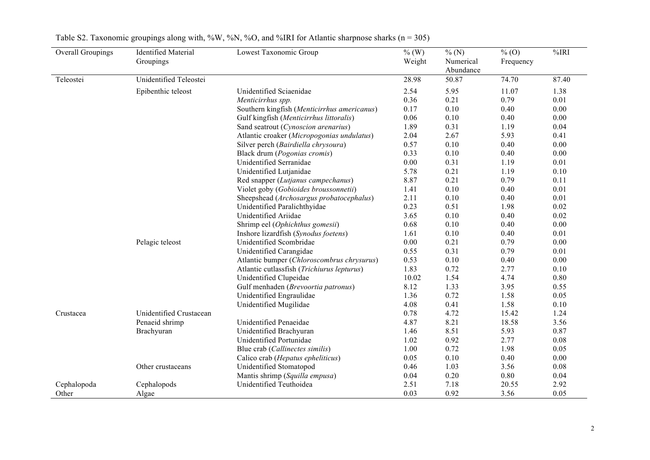| <b>Overall Groupings</b> | <b>Identified Material</b><br>Groupings | Lowest Taxonomic Group                      | $\%$ (W)<br>Weight | % (N)<br>Numerical<br>Abundance | $\%$ (O)<br>Frequency | %IRI         |
|--------------------------|-----------------------------------------|---------------------------------------------|--------------------|---------------------------------|-----------------------|--------------|
| Teleostei                | Unidentified Teleostei                  |                                             | 28.98              | 50.87                           | 74.70                 | 87.40        |
|                          | Epibenthic teleost                      | Unidentified Sciaenidae                     | 2.54               | 5.95                            | 11.07<br>0.79         | 1.38         |
|                          |                                         | Menticirrhus spp.                           | 0.36               | 0.21<br>0.10                    |                       | 0.01         |
|                          |                                         | Southern kingfish (Menticirrhus americanus) | 0.17<br>0.06       | 0.10                            | 0.40<br>0.40          | 0.00<br>0.00 |
|                          |                                         | Gulf kingfish (Menticirrhus littoralis)     | 1.89               | 0.31                            |                       | 0.04         |
|                          |                                         | Sand seatrout (Cynoscion arenarius)         |                    |                                 | 1.19                  |              |
|                          |                                         | Atlantic croaker (Micropogonias undulatus)  | 2.04               | 2.67                            | 5.93                  | 0.41         |
|                          |                                         | Silver perch (Bairdiella chrysoura)         | 0.57               | 0.10                            | 0.40                  | 0.00         |
|                          |                                         | Black drum (Pogonias cromis)                | 0.33               | 0.10                            | 0.40                  | 0.00         |
|                          |                                         | Unidentified Serranidae                     | 0.00               | 0.31                            | 1.19                  | 0.01         |
|                          |                                         | Unidentified Lutjanidae                     | 5.78               | 0.21                            | 1.19                  | 0.10         |
|                          |                                         | Red snapper (Lutjanus campechanus)          | 8.87               | 0.21                            | 0.79                  | 0.11         |
|                          |                                         | Violet goby (Gobioides broussonnetii)       | 1.41               | 0.10                            | 0.40                  | 0.01         |
|                          |                                         | Sheepshead (Archosargus probatocephalus)    | 2.11               | 0.10                            | 0.40                  | 0.01         |
|                          |                                         | Unidentified Paralichthyidae                | 0.23               | 0.51                            | 1.98                  | 0.02         |
|                          |                                         | Unidentified Ariidae                        | 3.65               | 0.10                            | 0.40                  | 0.02         |
|                          |                                         | Shrimp eel (Ophichthus gomesii)             | 0.68               | 0.10                            | 0.40                  | 0.00         |
|                          |                                         | Inshore lizardfish (Synodus foetens)        | 1.61               | 0.10                            | 0.40                  | 0.01         |
|                          | Pelagic teleost                         | Unidentified Scombridae                     | 0.00               | 0.21                            | 0.79                  | 0.00         |
|                          |                                         | Unidentified Carangidae                     | 0.55               | 0.31                            | 0.79                  | 0.01         |
|                          |                                         | Atlantic bumper (Chloroscombrus chrysurus)  | 0.53               | 0.10                            | 0.40                  | 0.00         |
|                          |                                         | Atlantic cutlassfish (Trichiurus lepturus)  | 1.83               | 0.72                            | 2.77                  | 0.10         |
|                          |                                         | Unidentified Clupeidae                      | 10.02              | 1.54                            | 4.74                  | 0.80         |
|                          |                                         | Gulf menhaden (Brevoortia patronus)         | 8.12               | 1.33                            | 3.95                  | 0.55         |
|                          |                                         | Unidentified Engraulidae                    | 1.36               | 0.72                            | 1.58                  | 0.05         |
|                          |                                         | Unidentified Mugilidae                      | 4.08               | 0.41                            | 1.58                  | 0.10         |
| Crustacea                | Unidentified Crustacean                 |                                             | 0.78               | 4.72                            | 15.42                 | 1.24         |
|                          | Penaeid shrimp                          | Unidentified Penaeidae                      | 4.87               | 8.21                            | 18.58                 | 3.56         |
|                          | Brachyuran                              | Unidentified Brachyuran                     | 1.46               | 8.51                            | 5.93                  | 0.87         |
|                          |                                         | Unidentified Portunidae                     | 1.02               | 0.92                            | 2.77                  | 0.08         |
|                          |                                         | Blue crab (Callinectes similis)             | 1.00               | 0.72                            | 1.98                  | 0.05         |
|                          |                                         | Calico crab (Hepatus epheliticus)           | 0.05               | 0.10                            | 0.40                  | 0.00         |
|                          | Other crustaceans                       | Unidentified Stomatopod                     | 0.46               | 1.03                            | 3.56                  | 0.08         |
|                          |                                         | Mantis shrimp (Squilla empusa)              | 0.04               | 0.20                            | 0.80                  | 0.04         |
| Cephalopoda              | Cephalopods                             | Unidentified Teuthoidea                     | 2.51               | 7.18                            | 20.55                 | 2.92         |
| Other                    | Algae                                   |                                             | 0.03               | 0.92                            | 3.56                  | 0.05         |

| Table S2. Taxonomic groupings along with, %W, %N, %O, and %IRI for Atlantic sharpnose sharks ( $n = 305$ ) |  |  |  |  |
|------------------------------------------------------------------------------------------------------------|--|--|--|--|
|------------------------------------------------------------------------------------------------------------|--|--|--|--|